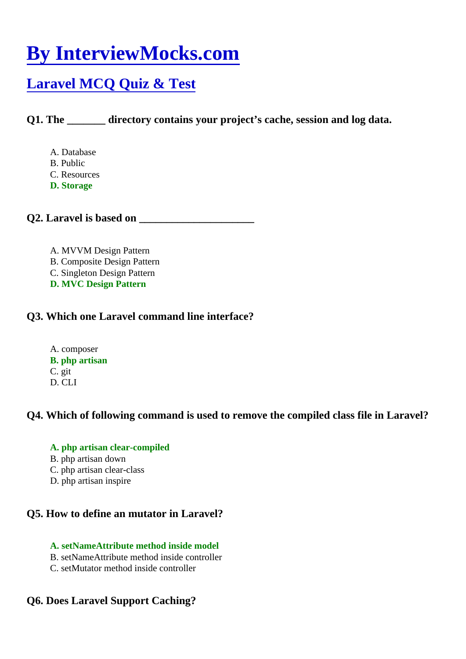# [By InterviewMocks.com](https://www.interviewmocks.com/)

## [Laravel MCQ Quiz & Test](https://www.interviewmocks.com/laravel-mcq-multiple-choice-questions/)

Q1. The directory contains your project's cache, session and log data.

- A. Database
- B. Public
- C. Resources
- D. Storage

Q2. Laravel is based on **EXALL** 

- A. MVVM Design Pattern
- B. Composite Design Pattern
- C. Singleton Design Pattern
- D. MVC Design Pattern

Q3. Which one Laravel command line interface?

A. composer B. php artisan C. git D. CLI

Q4. Which of following command is used to remove the compiled class file in Laravel?

- A. php artisan clear-compiled
- B. php artisan down
- C. php artisan clear-class
- D. php artisan inspire

Q5. How to define an mutator in Laravel?

- A. setNameAttribute method inside model
- B. setNameAttribute method inside controller
- C. setMutator method inside controller

Q6. Does Laravel Support Caching?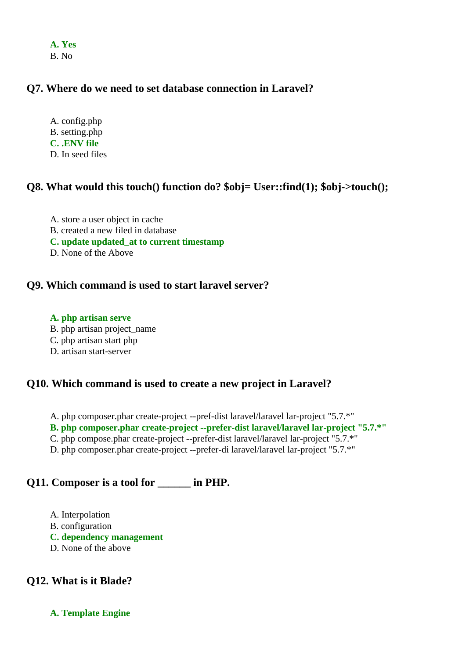**A. Yes** B. No

## **Q7. Where do we need to set database connection in Laravel?**

A. config.php B. setting.php **C. .ENV file** D. In seed files

#### **Q8. What would this touch() function do? \$obj= User::find(1); \$obj->touch();**

A. store a user object in cache B. created a new filed in database **C. update updated\_at to current timestamp** D. None of the Above

#### **Q9. Which command is used to start laravel server?**

#### **A. php artisan serve**

- B. php artisan project\_name
- C. php artisan start php
- D. artisan start-server

#### **Q10. Which command is used to create a new project in Laravel?**

A. php composer.phar create-project --pref-dist laravel/laravel lar-project "5.7.\*"

- **B. php composer.phar create-project --prefer-dist laravel/laravel lar-project "5.7.\*"**
- C. php compose.phar create-project --prefer-dist laravel/laravel lar-project "5.7.\*"
- D. php composer.phar create-project --prefer-di laravel/laravel lar-project "5.7.\*"

## **Q11. Composer is a tool for \_\_\_\_\_\_ in PHP.**

A. Interpolation B. configuration **C. dependency management** D. None of the above

## **Q12. What is it Blade?**

**A. Template Engine**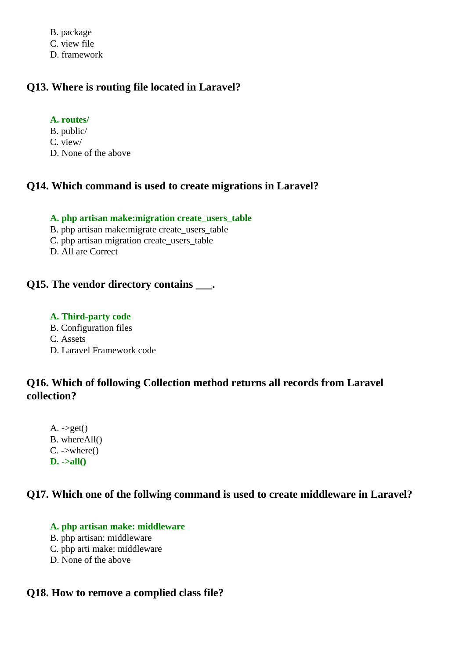B. package C. view file D. framework

## **Q13. Where is routing file located in Laravel?**

#### **A. routes/**

- B. public/
- C. view/
- D. None of the above

## **Q14. Which command is used to create migrations in Laravel?**

#### **A. php artisan make:migration create\_users\_table**

- B. php artisan make:migrate create\_users\_table
- C. php artisan migration create\_users\_table
- D. All are Correct

## **Q15. The vendor directory contains \_\_\_.**

#### **A. Third-party code**

B. Configuration files

C. Assets

D. Laravel Framework code

## **Q16. Which of following Collection method returns all records from Laravel collection?**

 $A. \rightarrow get()$ B. whereAll() C. ->where() **D. ->all()**

## **Q17. Which one of the follwing command is used to create middleware in Laravel?**

## **A. php artisan make: middleware**

- B. php artisan: middleware
- C. php arti make: middleware
- D. None of the above

## **Q18. How to remove a complied class file?**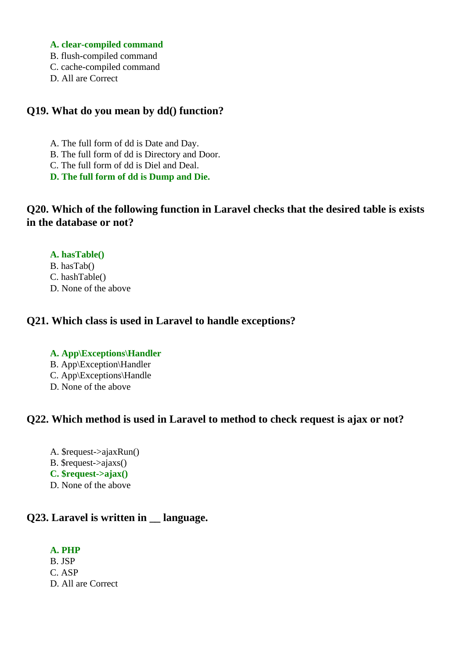#### **A. clear-compiled command**

- B. flush-compiled command
- C. cache-compiled command
- D. All are Correct

## **Q19. What do you mean by dd() function?**

- A. The full form of dd is Date and Day.
- B. The full form of dd is Directory and Door.
- C. The full form of dd is Diel and Deal.
- **D. The full form of dd is Dump and Die.**

## **Q20. Which of the following function in Laravel checks that the desired table is exists in the database or not?**

#### **A. hasTable()**

- B. hasTab() C. hashTable()
- D. None of the above

## **Q21. Which class is used in Laravel to handle exceptions?**

#### **A. App\Exceptions\Handler**

- B. App\Exception\Handler
- C. App\Exceptions\Handle
- D. None of the above

## **Q22. Which method is used in Laravel to method to check request is ajax or not?**

A. \$request->ajaxRun() B. \$request->ajaxs() **C. \$request->ajax()** D. None of the above

## **Q23. Laravel is written in \_\_ language.**

#### **A. PHP**

B. JSP C. ASP D. All are Correct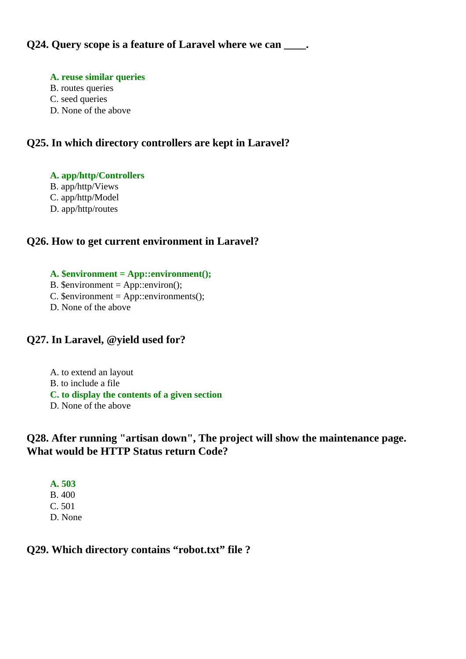#### **A. reuse similar queries**

- B. routes queries
- C. seed queries
- D. None of the above

## **Q25. In which directory controllers are kept in Laravel?**

#### **A. app/http/Controllers**

- B. app/http/Views
- C. app/http/Model
- D. app/http/routes

## **Q26. How to get current environment in Laravel?**

#### **A. \$environment = App::environment();**

- B.  $\text{Senvironment} = \text{App::environment}$ );
- C.  $\text{Semvironment} = \text{App::environment}$ ();
- D. None of the above

## **Q27. In Laravel, @yield used for?**

A. to extend an layout B. to include a file **C. to display the contents of a given section** D. None of the above

## **Q28. After running "artisan down", The project will show the maintenance page. What would be HTTP Status return Code?**

**A. 503** B. 400 C. 501 D. None

## **Q29. Which directory contains "robot.txt" file ?**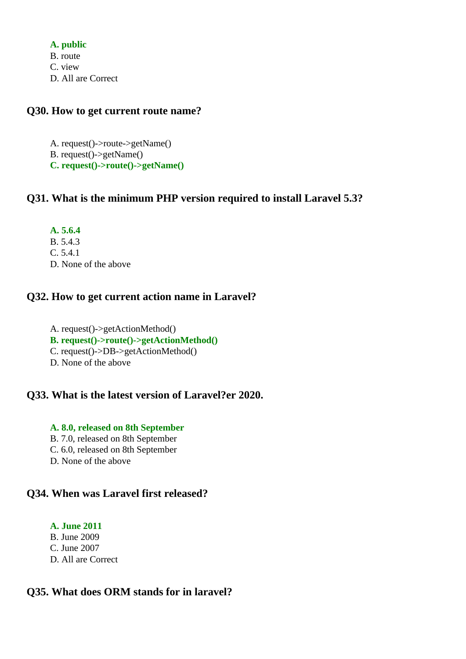**A. public** B. route C. view D. All are Correct

#### **Q30. How to get current route name?**

A. request()->route->getName() B. request()->getName() **C. request()->route()->getName()**

## **Q31. What is the minimum PHP version required to install Laravel 5.3?**

**A. 5.6.4** B. 5.4.3 C. 5.4.1 D. None of the above

## **Q32. How to get current action name in Laravel?**

A. request()->getActionMethod() **B. request()->route()->getActionMethod()** C. request()->DB->getActionMethod() D. None of the above

## **Q33. What is the latest version of Laravel?er 2020.**

#### **A. 8.0, released on 8th September**

- B. 7.0, released on 8th September
- C. 6.0, released on 8th September
- D. None of the above

## **Q34. When was Laravel first released?**

#### **A. June 2011**

- B. June 2009
- C. June 2007
- D. All are Correct

## **Q35. What does ORM stands for in laravel?**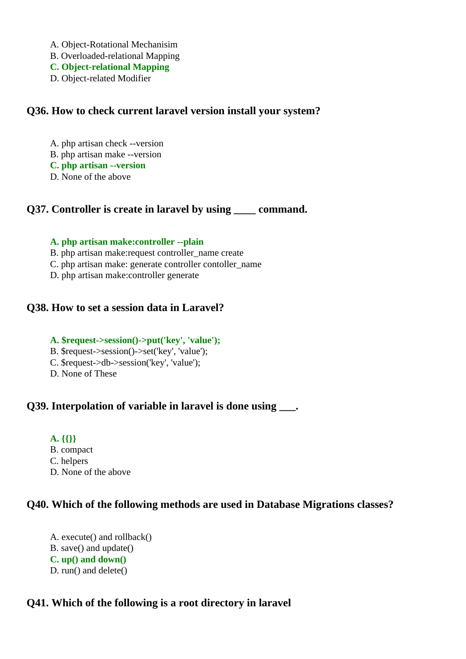- A. Object-Rotational Mechanisim
- B. Overloaded-relational Mapping
- **C. Object-relational Mapping**
- D. Object-related Modifier

#### **Q36. How to check current laravel version install your system?**

- A. php artisan check --version
- B. php artisan make --version
- **C. php artisan --version**
- D. None of the above

## **Q37. Controller is create in laravel by using \_\_\_\_ command.**

#### **A. php artisan make:controller --plain**

- B. php artisan make:request controller\_name create
- C. php artisan make: generate controller contoller\_name
- D. php artisan make:controller generate

## **Q38. How to set a session data in Laravel?**

#### **A. \$request->session()->put('key', 'value');**

- B. \$request->session()->set('key', 'value');
- C. \$request->db->session('key', 'value');
- D. None of These

## **Q39. Interpolation of variable in laravel is done using ...**

- **A. {{}}**
- B. compact
- C. helpers
- D. None of the above

## **Q40. Which of the following methods are used in Database Migrations classes?**

A. execute() and rollback() B. save() and update() **C. up() and down()** D. run() and delete()

## **Q41. Which of the following is a root directory in laravel**